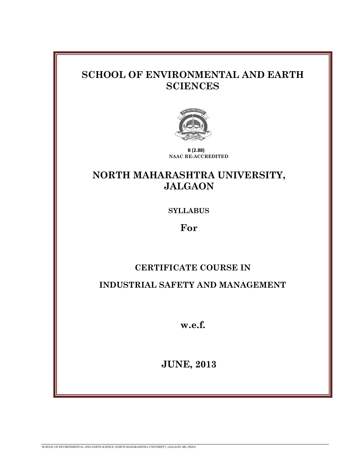# **SCHOOL OF ENVIRONMENTAL AND EARTH SCIENCES**



 **B (2.88) NAAC RE-ACCREDITED**

# **NORTH MAHARASHTRA UNIVERSITY, JALGAON**

**SYLLABUS**

**For**

# **CERTIFICATE COURSE IN**

**INDUSTRIAL SAFETY AND MANAGEMENT**

**w.e.f.**

**JUNE, 2013**

SCHOOL OF ENVIRONMENTAL AND EARTH SCIENCE, NORTH MAHARASHTRA UNIVERSITY, JALGAON, MS, INDIA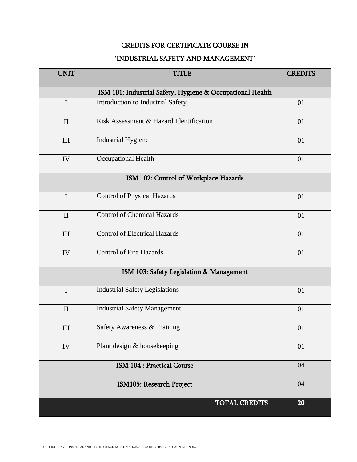## CREDITS FOR CERTIFICATE COURSE IN

## 'INDUSTRIAL SAFETY AND MANAGEMENT'

| <b>UNIT</b>                                               | <b>TITLE</b>                            | <b>CREDITS</b> |
|-----------------------------------------------------------|-----------------------------------------|----------------|
| ISM 101: Industrial Safety, Hygiene & Occupational Health |                                         |                |
| I                                                         | Introduction to Industrial Safety       | 01             |
| $\mathbf{I}$                                              | Risk Assessment & Hazard Identification | 01             |
| III                                                       | <b>Industrial Hygiene</b>               | 01             |
| IV                                                        | Occupational Health                     | 01             |
| ISM 102: Control of Workplace Hazards                     |                                         |                |
| $\mathbf I$                                               | <b>Control of Physical Hazards</b>      | 01             |
| II                                                        | <b>Control of Chemical Hazards</b>      | 01             |
| III                                                       | <b>Control of Electrical Hazards</b>    | 01             |
| IV                                                        | <b>Control of Fire Hazards</b>          | 01             |
| ISM 103: Safety Legislation & Management                  |                                         |                |
| $\mathbf I$                                               | <b>Industrial Safety Legislations</b>   | 01             |
| $\mathbf{I}$                                              | <b>Industrial Safety Management</b>     | 01             |
| III                                                       | Safety Awareness & Training             | 01             |
| IV                                                        | Plant design & housekeeping             | 01             |
| <b>ISM 104 : Practical Course</b>                         |                                         | 04             |
| ISM105: Research Project                                  |                                         | 04             |
|                                                           | TOTAL CREDITS                           | 20             |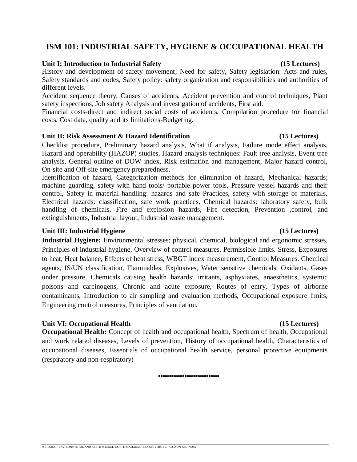## **ISM 101: INDUSTRIAL SAFETY, HYGIENE & OCCUPATIONAL HEALTH**

### **Unit I: Introduction to Industrial Safety (15 Lectures)**

History and development of safety movement, Need for safety, Safety legislation: Acts and rules, Safety standards and codes, Safety policy: safety organization and responsibilities and authorities of different levels.

Accident sequence theory, Causes of accidents, Accident prevention and control techniques, Plant safety inspections, Job safety Analysis and investigation of accidents, First aid.

Financial costs-direct and indirect social costs of accidents. Compilation procedure for financial costs. Cost data, quality and its limitations-Budgeting.

### **Unit II: Risk Assessment & Hazard Identification (15 Lectures)**

Checklist procedure, Preliminary hazard analysis, What if analysis, Failure mode effect analysis, Hazard and operability (HAZOP) studies, Hazard analysis techniques: Fault tree analysis, Event tree analysis, General outline of DOW index, Risk estimation and management, Major hazard control, On-site and Off-site emergency preparedness.

Identification of hazard, Categorization methods for elimination of hazard, Mechanical hazards; machine guarding, safety with hand tools/ portable power tools, Pressure vessel hazards and their control, Safety in material handling: hazards and safe Practices, safety with storage of materials, Electrical hazards: classification, safe work practices, Chemical hazards: laboratory safety, bulk handling of chemicals, Fire and explosion hazards, Fire detection, Prevention ,control, and extinguishments, Industrial layout, Industrial waste management.

## Unit III: Industrial Hygiene (15 Lectures)

**Industrial Hygiene:** Environmental stresses: physical, chemical, biological and ergonomic stresses, Principles of industrial hygiene, Overview of control measures. Permissible limits. Stress, Exposures to heat, Heat balance, Effects of heat stress, WBGT index measurement, Control Measures. Chemical agents, IS/UN classification, Flammables, Explosives, Water sensitive chemicals, Oxidants, Gases under pressure, Chemicals causing health hazards: irritants, asphyxiates, anaesthetics, systemic poisons and carcinogens, Chronic and acute exposure, Routes of entry, Types of airborne contaminants, Introduction to air sampling and evaluation methods, Occupational exposure limits, Engineering control measures, Principles of ventilation.

## Unit VI: Occupational Health (15 Lectures)

**Occupational Health:** Concept of health and occupational health, Spectrum of health, Occupational and work related diseases, Levels of prevention, History of occupational health, Characteristics of occupational diseases, Essentials of occupational health service, personal protective equipments (respiratory and non-respiratory)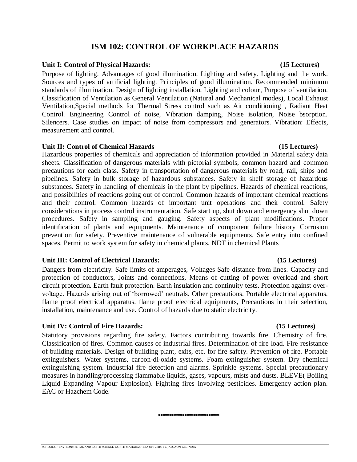## **ISM 102: CONTROL OF WORKPLACE HAZARDS**

### **Unit I: Control of Physical Hazards: (15 Lectures)**

Purpose of lighting. Advantages of good illumination. Lighting and safety. Lighting and the work. Sources and types of artificial lighting. Principles of good illumination. Recommended minimum standards of illumination. Design of lighting installation, Lighting and colour, Purpose of ventilation. Classification of Ventilation as General Ventilation (Natural and Mechanical modes), Local Exhaust Ventilation,Special methods for Thermal Stress control such as Air conditioning , Radiant Heat Control. Engineering Control of noise, Vibration damping, Noise isolation, Noise bsorption. Silencers. Case studies on impact of noise from compressors and generators. Vibration: Effects, measurement and control.

### **Unit II: Control of Chemical Hazards (15 Lectures)**

Hazardous properties of chemicals and appreciation of information provided in Material safety data sheets. Classification of dangerous materials with pictorial symbols, common hazard and common precautions for each class. Safety in transportation of dangerous materials by road, rail, ships and pipelines. Safety in bulk storage of hazardous substances. Safety in shelf storage of hazardous substances. Safety in handling of chemicals in the plant by pipelines. Hazards of chemical reactions, and possibilities of reactions going out of control. Common hazards of important chemical reactions and their control. Common hazards of important unit operations and their control. Safety considerations in process control instrumentation. Safe start up, shut down and emergency shut down procedures. Safety in sampling and gauging. Safety aspects of plant modifications. Proper identification of plants and equipments. Maintenance of component failure history Corrosion prevention for safety. Preventive maintenance of vulnerable equipments. Safe entry into confined spaces. Permit to work system for safety in chemical plants. NDT in chemical Plants

## **Unit III: Control of Electrical Hazards: (15 Lectures)**

Dangers from electricity. Safe limits of amperages, Voltages Safe distance from lines. Capacity and protection of conductors, Joints and connections, Means of cutting of power overload and short circuit protection. Earth fault protection. Earth insulation and continuity tests. Protection against overvoltage. Hazards arising out of 'borrowed' neutrals. Other precautions. Portable electrical apparatus. flame proof electrical apparatus. flame proof electrical equipments, Precautions in their selection, installation, maintenance and use. Control of hazards due to static electricity.

## Unit IV: Control of Fire Hazards: (15 Lectures)

Statutory provisions regarding fire safety. Factors contributing towards fire. Chemistry of fire. Classification of fires. Common causes of industrial fires. Determination of fire load. Fire resistance of building materials. Design of building plant, exits, etc. for fire safety. Prevention of fire. Portable extinguishers. Water systems, carbon-di-oxide systems. Foam extinguisher system. Dry chemical extinguishing system. Industrial fire detection and alarms. Sprinkle systems. Special precautionary measures in handling/processing flammable liquids, gases, vapours, mists and dusts. BLEVE( Boiling Liquid Expanding Vapour Explosion). Fighting fires involving pesticides. Emergency action plan. EAC or Hazchem Code.

## SCHOOL OF ENVIRONMENTAL AND EARTH SCIENCE, NORTH MAHARASHTRA UNIVERSITY, JALGAON, MS, INDIA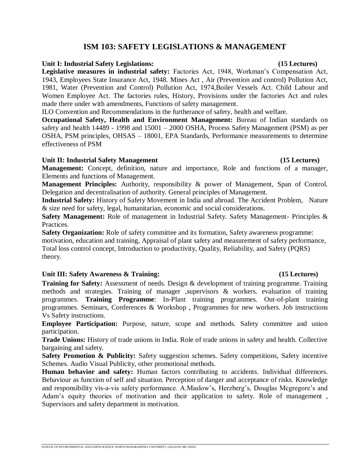## **ISM 103: SAFETY LEGISLATIONS & MANAGEMENT**

### **Unit I: Industrial Safety Legislations: (15 Lectures)**

**Legislative measures in industrial safety:** Factories Act, 1948, Workman's Compensation Act, 1943, Employees State Insurance Act, 1948. Mines Act , Air (Prevention and control) Pollution Act, 1981, Water (Prevention and Control) Pollution Act, 1974,Boiler Vessels Act. Child Labour and Women Employee Act. The factories rules, History, Provisions under the factories Act and rules made there under with amendments, Functions of safety management.

ILO Convention and Recommendations in the furtherance of safety, health and welfare.

**Occupational Safety, Health and Environment Management:** Bureau of Indian standards on safety and health 14489 - 1998 and 15001 – 2000 OSHA, Process Safety Management (PSM) as per OSHA, PSM principles, OHSAS – 18001, EPA Standards, Performance measurements to determine effectiveness of PSM

### Unit II: Industrial Safety Management (15 Lectures)

**Management:** Concept, definition, nature and importance, Role and functions of a manager, Elements and functions of Management.

**Management Principles:** Authority, responsibility & power of Management, Span of Control. Delegation and decentralisation of authority. General principles of Management.

**Industrial Safety:** History of Safety Movement in India and abroad. The Accident Problem, Nature & size need for safety, legal, humanitarian, economic and social considerations.

**Safety Management:** Role of management in Industrial Safety. Safety Management- Principles & Practices.

**Safety Organization:** Role of safety committee and its formation, Safety awareness programme: motivation, education and training, Appraisal of plant safety and measurement of safety performance, Total loss control concept, Introduction to productivity, Quality, Reliability, and Safety (PQRS) theory.

## **Unit III: Safety Awareness & Training: (15 Lectures)**

**Training for Safety:** Assessment of needs. Design & development of training programme. Training methods and strategies. Training of manager ,supervisors & workers. evaluation of training programmes. **Training Programme**: In-Plant training programmes. Out-of-plant training programmes. Seminars, Conferences & Workshop , Programmes for new workers. Job instructions Vs Safety instructions.

**Employee Participation:** Purpose, nature, scope and methods. Safety committee and union participation.

**Trade Unions:** History of trade unions in India. Role of trade unions in safety and health. Collective bargaining and safety.

**Safety Promotion & Publicity:** Safety suggestion schemes. Safety competitions, Safety incentive Schemes. Audio Visual Publicity, other promotional methods.

**Human behavior and safety:** Human factors contributing to accidents. Individual differences. Behaviour as function of self and situation. Perception of danger and acceptance of risks. Knowledge and responsibility vis-a-vis safety performance. A.Maslow's, Herzberg's, Douglas Mcgregore's and Adam's equity theories of motivation and their application to safety. Role of management , Supervisors and safety department in motivation.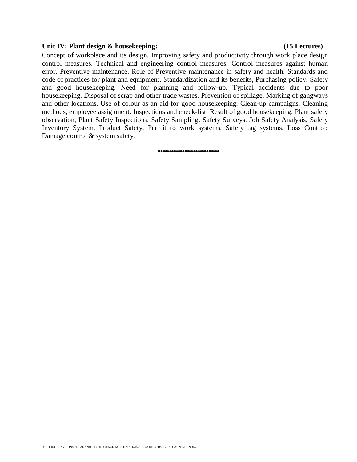### **Unit IV: Plant design & housekeeping: (15 Lectures)**

Concept of workplace and its design. Improving safety and productivity through work place design control measures. Technical and engineering control measures. Control measures against human error. Preventive maintenance. Role of Preventive maintenance in safety and health. Standards and code of practices for plant and equipment. Standardization and its benefits, Purchasing policy. Safety and good housekeeping. Need for planning and follow-up. Typical accidents due to poor housekeeping. Disposal of scrap and other trade wastes. Prevention of spillage. Marking of gangways and other locations. Use of colour as an aid for good housekeeping. Clean-up campaigns. Cleaning methods, employee assignment. Inspections and check-list. Result of good housekeeping. Plant safety observation, Plant Safety Inspections. Safety Sampling. Safety Surveys. Job Safety Analysis. Safety Inventory System. Product Safety. Permit to work systems. Safety tag systems. Loss Control: Damage control & system safety.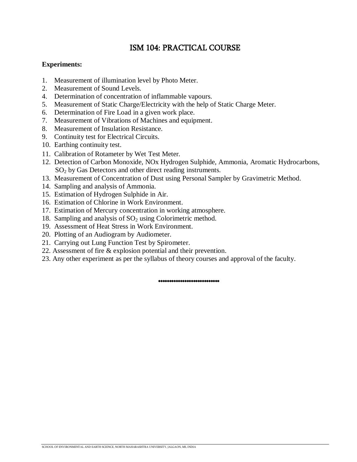## ISM 104: PRACTICAL COURSE

## **Experiments:**

- 1. Measurement of illumination level by Photo Meter.
- 2. Measurement of Sound Levels.
- 4. Determination of concentration of inflammable vapours.
- 5. Measurement of Static Charge/Electricity with the help of Static Charge Meter.
- 6. Determination of Fire Load in a given work place.
- 7. Measurement of Vibrations of Machines and equipment.
- 8. Measurement of Insulation Resistance.
- 9. Continuity test for Electrical Circuits.
- 10. Earthing continuity test.
- 11. Calibration of Rotameter by Wet Test Meter.
- 12. Detection of Carbon Monoxide, NOx Hydrogen Sulphide, Ammonia, Aromatic Hydrocarbons, SO<sup>2</sup> by Gas Detectors and other direct reading instruments.
- 13. Measurement of Concentration of Dust using Personal Sampler by Gravimetric Method.
- 14. Sampling and analysis of Ammonia.
- 15. Estimation of Hydrogen Sulphide in Air.
- 16. Estimation of Chlorine in Work Environment.
- 17. Estimation of Mercury concentration in working atmosphere.
- 18. Sampling and analysis of  $SO<sub>2</sub>$  using Colorimetric method.
- 19. Assessment of Heat Stress in Work Environment.
- 20. Plotting of an Audiogram by Audiometer.
- 21. Carrying out Lung Function Test by Spirometer.
- 22. Assessment of fire & explosion potential and their prevention.
- 23. Any other experiment as per the syllabus of theory courses and approval of the faculty.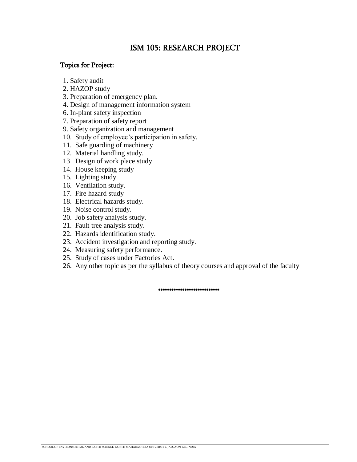## ISM 105: RESEARCH PROJECT

## Topics for Project:

- 1. Safety audit
- 2. HAZOP study
- 3. Preparation of emergency plan.
- 4. Design of management information system
- 6. In-plant safety inspection
- 7. Preparation of safety report
- 9. Safety organization and management
- 10. Study of employee's participation in safety.
- 11. Safe guarding of machinery
- 12. Material handling study.
- 13 Design of work place study
- 14. House keeping study
- 15. Lighting study
- 16. Ventilation study.
- 17. Fire hazard study
- 18. Electrical hazards study.
- 19. Noise control study.
- 20. Job safety analysis study.
- 21. Fault tree analysis study.
- 22. Hazards identification study.
- 23. Accident investigation and reporting study.
- 24. Measuring safety performance.
- 25. Study of cases under Factories Act.
- 26. Any other topic as per the syllabus of theory courses and approval of the faculty